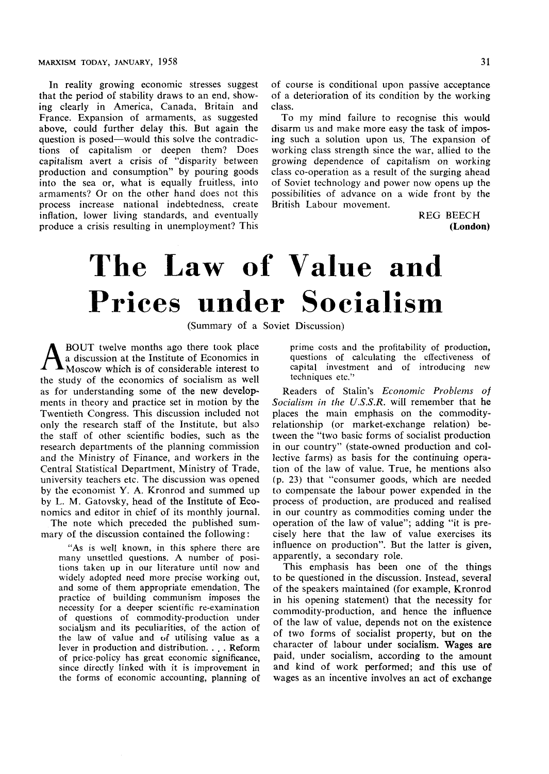In reality growing economic stresses suggest that the period of stability draws to an end, showing clearly in America, Canada, Britain and France. Expansion of armaments, as suggested above, could further delay this. But again the question is posed—would this solve the contradictions of capitalism or deepen them? Does capitalism avert a crisis of "disparity between production and consumption" by pouring goods into the sea or, what is equally fruitless, into armaments? Or on the other hand does not this process increase national indebtedness, create inflation, lower living standards, and eventually produce a crisis resulting in unemployment? This of course is conditional upon passive acceptance of a deterioration of its condition by the working class.

To my mind failure to recognise this would disarm us and make more easy the task of imposing such a solution upon us. The expansion of working class strength since the war, allied to the growing dependence of capitalism on working class co-operation as a result of the surging ahead of Soviet technology and power now opens up the possibilities of advance on a wide front by the British Labour movement.

> REG BEECH **(London)**

## The Law of Value and Prices under Socialism

(Summary of a Soviet Discussion)

A BOUT twelve months ago there took place<br>a discussion at the Institute of Economics in<br>Moscow which is of considerable interest to BOUT twelve months ago there took place a discussion at the Institute of Economics in the study of the economics of socialism as well as for understanding some of the new developments in theory and practice set in motion by the Twentieth Congress. This discussion included not only the research staff of the Institute, but also the staff of other scientific bodies, such as the research departments of the planning commission and the Ministry of Finance, and workers in the Central Statistical Department, Ministry of Trade, university teachers etc. The discussion was opened by the economist Y. A. Kronrod and summed up by L. M. Gatovsky, head of the Institute of Economics and editor in chief of its monthly journal.

The note which preceded the published summary of the discussion contained the following:

"As is well known, in this sphere there are many unsettled questions. A number of positions taken up in our literature until now and widely adopted need more precise working out, and some of them appropriate emendation. The practice of building communism imposes the necessity for a deeper scientific re-examination of questions of commodity-production under socialism and its peculiarities, of the action of the law of value and of utilising value as a lever in production and distribution. . . . Reform of price-policy has great economic significance, since directly linked with it is improvement in the forms of economic accounting, planning of prime costs and the profitability of production, questions of calculating the effectiveness of capital investment and of introducing new techniques etc."

Readers of Stalin's *Economic Problems of Socialism in the U.S.S.R.* will remember that he places the main emphasis on the commodityrelationship (or market-exchange relation) between the "two basic forms of socialist production in our country" (state-owned production and collective farms) as basis for the continuing operation of the law of value. True, he mentions also (p. 23) that "consumer goods, which are needed to compensate the labour power expended in the process of production, are produced and realised in our country as commodities coming under the operation of the law of value"; adding "it is precisely here that the law of value exercises its influence on production". But the latter is given, apparently, a secondary role.

This emphasis has been one of the things to be questioned in the discussion. Instead, several of the speakers maintained (for example, Kronrod in his opening statement) that the necessity for commodity-production, and hence the influence of the law of value, depends not on the existence of two forms of socialist property, but on the character of labour under socialism. **Wages are**  paid, under socialism, according to the amount and kind of work performed; and this use of wages as an incentive involves an act of exchange